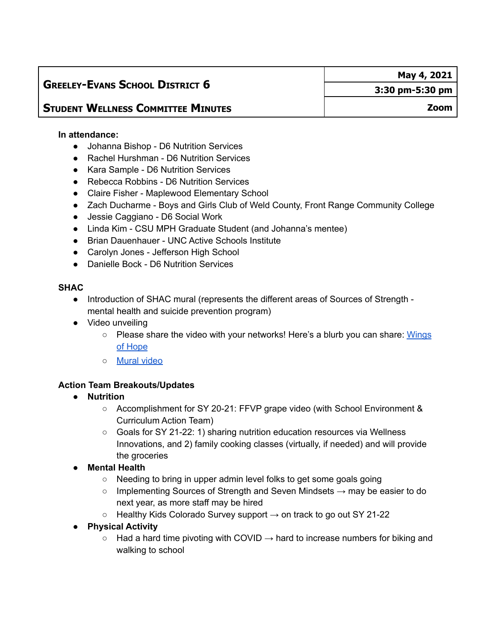# **GREELEY-EVANS SCHOOL DISTRICT 6**

# **STUDENT WELLNESS COMMITTEE MINUTES**

#### **In attendance:**

- Johanna Bishop D6 Nutrition Services
- Rachel Hurshman D6 Nutrition Services
- Kara Sample D6 Nutrition Services
- Rebecca Robbins D6 Nutrition Services
- Claire Fisher Maplewood Elementary School
- Zach Ducharme Boys and Girls Club of Weld County, Front Range Community College
- Jessie Caggiano D6 Social Work
- Linda Kim CSU MPH Graduate Student (and Johanna's mentee)
- Brian Dauenhauer UNC Active Schools Institute
- Carolyn Jones Jefferson High School
- Danielle Bock D6 Nutrition Services

#### **SHAC**

- Introduction of SHAC mural (represents the different areas of Sources of Strength mental health and suicide prevention program)
- Video unveiling
	- Please share the video with your networks! Here's a blurb you can share: [Wings](https://docs.google.com/document/d/1eZ-4sC8i0rqfoGZlV3ciuYeY1BB3vw_i1XO7Swfp0j0/edit?usp=sharing) of [Hope](https://docs.google.com/document/d/1eZ-4sC8i0rqfoGZlV3ciuYeY1BB3vw_i1XO7Swfp0j0/edit?usp=sharing)
	- [Mural](https://youtu.be/bsEtCtDYatA) video

## **Action Team Breakouts/Updates**

- **● Nutrition**
	- Accomplishment for SY 20-21: FFVP grape video (with School Environment & Curriculum Action Team)
	- Goals for SY 21-22: 1) sharing nutrition education resources via Wellness Innovations, and 2) family cooking classes (virtually, if needed) and will provide the groceries
- **● Mental Health**
	- Needing to bring in upper admin level folks to get some goals going
	- $\circ$  Implementing Sources of Strength and Seven Mindsets  $\rightarrow$  may be easier to do next year, as more staff may be hired
	- $\circ$  Healthy Kids Colorado Survey support  $\rightarrow$  on track to go out SY 21-22

### **● Physical Activity**

 $\circ$  Had a hard time pivoting with COVID  $\rightarrow$  hard to increase numbers for biking and walking to school

**May 4, 2021**

**Zoom**

**3:30 pm-5:30 pm**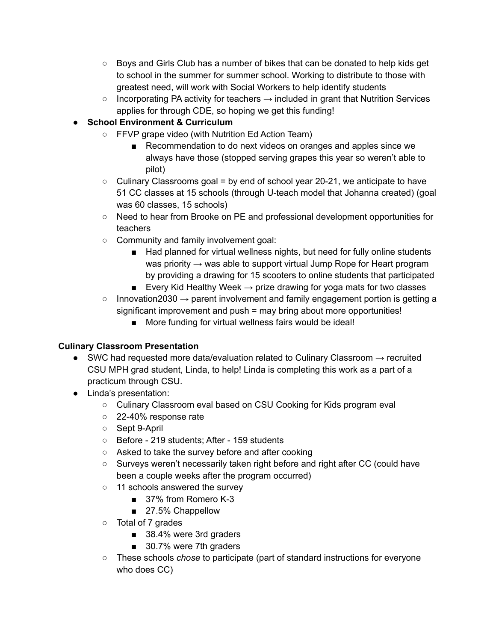- Boys and Girls Club has a number of bikes that can be donated to help kids get to school in the summer for summer school. Working to distribute to those with greatest need, will work with Social Workers to help identify students
- $\circ$  Incorporating PA activity for teachers  $\rightarrow$  included in grant that Nutrition Services applies for through CDE, so hoping we get this funding!

# **● School Environment & Curriculum**

- FFVP grape video (with Nutrition Ed Action Team)
	- Recommendation to do next videos on oranges and apples since we always have those (stopped serving grapes this year so weren't able to pilot)
- Culinary Classrooms goal = by end of school year 20-21, we anticipate to have 51 CC classes at 15 schools (through U-teach model that Johanna created) (goal was 60 classes, 15 schools)
- Need to hear from Brooke on PE and professional development opportunities for teachers
- Community and family involvement goal:
	- Had planned for virtual wellness nights, but need for fully online students was priority  $\rightarrow$  was able to support virtual Jump Rope for Heart program by providing a drawing for 15 scooters to online students that participated
	- Every Kid Healthy Week  $\rightarrow$  prize drawing for yoga mats for two classes
- $\circ$  Innovation2030  $\rightarrow$  parent involvement and family engagement portion is getting a significant improvement and push = may bring about more opportunities!
	- More funding for virtual wellness fairs would be ideal!

# **Culinary Classroom Presentation**

- SWC had requested more data/evaluation related to Culinary Classroom  $\rightarrow$  recruited CSU MPH grad student, Linda, to help! Linda is completing this work as a part of a practicum through CSU.
- Linda's presentation:
	- Culinary Classroom eval based on CSU Cooking for Kids program eval
	- 22-40% response rate
	- Sept 9-April
	- Before 219 students; After 159 students
	- Asked to take the survey before and after cooking
	- Surveys weren't necessarily taken right before and right after CC (could have been a couple weeks after the program occurred)
	- 11 schools answered the survey
		- 37% from Romero K-3
		- 27.5% Chappellow
	- Total of 7 grades
		- 38.4% were 3rd graders
		- 30.7% were 7th graders
	- These schools *chose* to participate (part of standard instructions for everyone who does CC)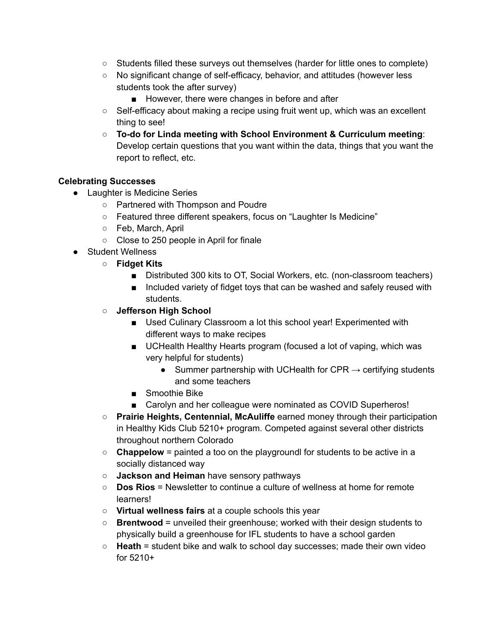- Students filled these surveys out themselves (harder for little ones to complete)
- No significant change of self-efficacy, behavior, and attitudes (however less students took the after survey)
	- However, there were changes in before and after
- $\circ$  Self-efficacy about making a recipe using fruit went up, which was an excellent thing to see!
- **To-do for Linda meeting with School Environment & Curriculum meeting**: Develop certain questions that you want within the data, things that you want the report to reflect, etc.

### **Celebrating Successes**

- Laughter is Medicine Series
	- Partnered with Thompson and Poudre
	- Featured three different speakers, focus on "Laughter Is Medicine"
	- Feb, March, April
	- Close to 250 people in April for finale
- Student Wellness
	- **Fidget Kits**
		- Distributed 300 kits to OT, Social Workers, etc. (non-classroom teachers)
		- Included variety of fidget toys that can be washed and safely reused with students.

### **○ Jefferson High School**

- Used Culinary Classroom a lot this school year! Experimented with different ways to make recipes
- UCHealth Healthy Hearts program (focused a lot of vaping, which was very helpful for students)
	- Summer partnership with UCHealth for CPR  $\rightarrow$  certifying students and some teachers
- Smoothie Bike
- Carolyn and her colleague were nominated as COVID Superheros!
- **Prairie Heights, Centennial, McAuliffe** earned money through their participation in Healthy Kids Club 5210+ program. Competed against several other districts throughout northern Colorado
- **Chappelow** = painted a too on the playgroundl for students to be active in a socially distanced way
- **Jackson and Heiman** have sensory pathways
- **Dos Rios** = Newsletter to continue a culture of wellness at home for remote learners!
- **Virtual wellness fairs** at a couple schools this year
- **Brentwood** = unveiled their greenhouse; worked with their design students to physically build a greenhouse for IFL students to have a school garden
- **Heath** = student bike and walk to school day successes; made their own video for 5210+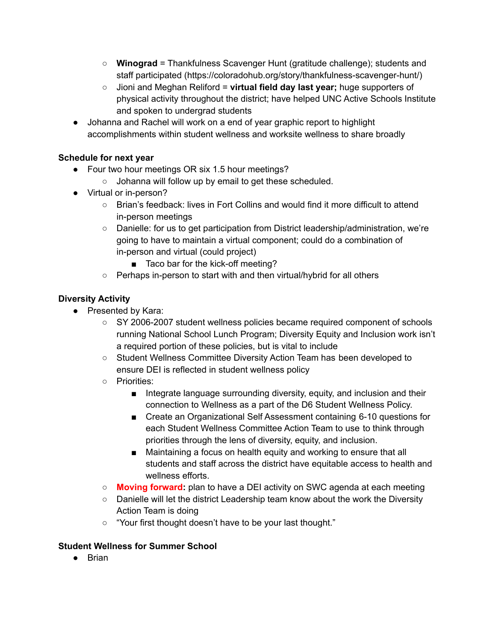- **Winograd** = Thankfulness Scavenger Hunt (gratitude challenge); students and staff participated (https://coloradohub.org/story/thankfulness-scavenger-hunt/)
- Jioni and Meghan Reliford = **virtual field day last year;** huge supporters of physical activity throughout the district; have helped UNC Active Schools Institute and spoken to undergrad students
- Johanna and Rachel will work on a end of year graphic report to highlight accomplishments within student wellness and worksite wellness to share broadly

## **Schedule for next year**

- Four two hour meetings OR six 1.5 hour meetings?
	- Johanna will follow up by email to get these scheduled.
- Virtual or in-person?
	- Brian's feedback: lives in Fort Collins and would find it more difficult to attend in-person meetings
	- Danielle: for us to get participation from District leadership/administration, we're going to have to maintain a virtual component; could do a combination of in-person and virtual (could project)
		- Taco bar for the kick-off meeting?
	- Perhaps in-person to start with and then virtual/hybrid for all others

## **Diversity Activity**

- Presented by Kara:
	- SY 2006-2007 student wellness policies became required component of schools running National School Lunch Program; Diversity Equity and Inclusion work isn't a required portion of these policies, but is vital to include
	- Student Wellness Committee Diversity Action Team has been developed to ensure DEI is reflected in student wellness policy
	- Priorities:
		- Integrate language surrounding diversity, equity, and inclusion and their connection to Wellness as a part of the D6 Student Wellness Policy.
		- Create an Organizational Self Assessment containing 6-10 questions for each Student Wellness Committee Action Team to use to think through priorities through the lens of diversity, equity, and inclusion.
		- Maintaining a focus on health equity and working to ensure that all students and staff across the district have equitable access to health and wellness efforts.
	- **○ Moving forward:** plan to have a DEI activity on SWC agenda at each meeting
	- **○** Danielle will let the district Leadership team know about the work the Diversity Action Team is doing
	- **○** "Your first thought doesn't have to be your last thought."

### **Student Wellness for Summer School**

● Brian